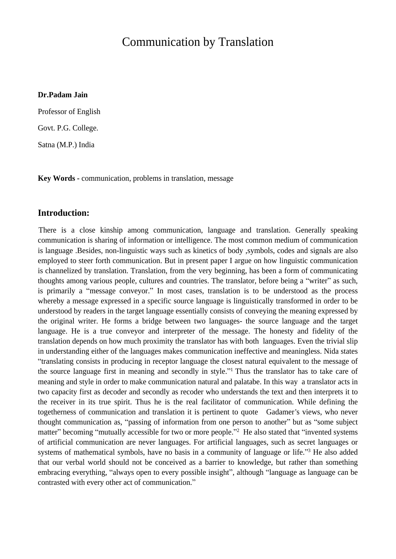# Communication by Translation

#### **Dr.Padam Jain**

Professor of English Govt. P.G. College. Satna (M.P.) India

**Key Words -** communication, problems in translation, message

### **Introduction:**

There is a close kinship among communication, language and translation. Generally speaking communication is sharing of information or intelligence. The most common medium of communication is language .Besides, non-linguistic ways such as kinetics of body ,symbols, codes and signals are also employed to steer forth communication. But in present paper I argue on how linguistic communication is channelized by translation. Translation, from the very beginning, has been a form of communicating thoughts among various people, cultures and countries. The translator, before being a "writer" as such, is primarily a "message conveyor." In most cases, translation is to be understood as the process whereby a message expressed in a specific source language is linguistically transformed in order to be understood by readers in the target language essentially consists of conveying the meaning expressed by the original writer. He forms a bridge between two languages- the source language and the target language. He is a true conveyor and interpreter of the message. The honesty and fidelity of the translation depends on how much proximity the translator has with both languages. Even the trivial slip in understanding either of the languages makes communication ineffective and meaningless. Nida states ³translating consists in producing in receptor language the closest natural equivalent to the message of the source language first in meaning and secondly in style.<sup>"1</sup> Thus the translator has to take care of meaning and style in order to make communication natural and palatabe. In this way a translator acts in two capacity first as decoder and secondly as recoder who understands the text and then interprets it to the receiver in its true spirit. Thus he is the real facilitator of communication. While defining the togetherness of communication and translation it is pertinent to quote Gadamer's views, who never thought communication as, "passing of information from one person to another" but as "some subject matter" becoming "mutually accessible for two or more people."<sup>2</sup> He also stated that "invented systems of artificial communication are never languages. For artificial languages, such as secret languages or systems of mathematical symbols, have no basis in a community of language or life.<sup>33</sup> He also added that our verbal world should not be conceived as a barrier to knowledge, but rather than something embracing everything, "always open to every possible insight", although "language as language can be contrasted with every other act of communication.´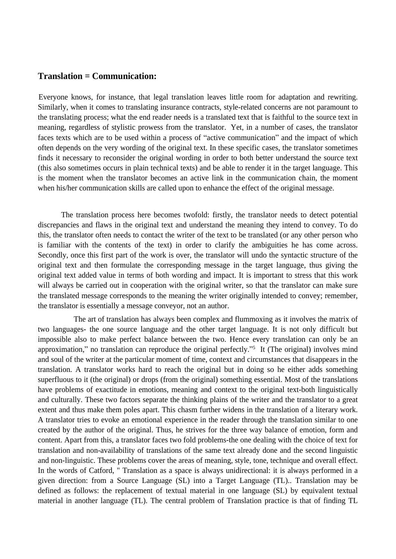#### **Translation = Communication:**

Everyone knows, for instance, that legal translation leaves little room for adaptation and rewriting. Similarly, when it comes to translating insurance contracts, style-related concerns are not paramount to the translating process; what the end reader needs is a translated text that is faithful to the source text in meaning, regardless of stylistic prowess from the translator. Yet, in a number of cases, the translator faces texts which are to be used within a process of "active communication" and the impact of which often depends on the very wording of the original text. In these specific cases, the translator sometimes finds it necessary to reconsider the original wording in order to both better understand the source text (this also sometimes occurs in plain technical texts) and be able to render it in the target language. This is the moment when the translator becomes an active link in the communication chain, the moment when his/her communication skills are called upon to enhance the effect of the original message.

 The translation process here becomes twofold: firstly, the translator needs to detect potential discrepancies and flaws in the original text and understand the meaning they intend to convey. To do this, the translator often needs to contact the writer of the text to be translated (or any other person who is familiar with the contents of the text) in order to clarify the ambiguities he has come across. Secondly, once this first part of the work is over, the translator will undo the syntactic structure of the original text and then formulate the corresponding message in the target language, thus giving the original text added value in terms of both wording and impact. It is important to stress that this work will always be carried out in cooperation with the original writer, so that the translator can make sure the translated message corresponds to the meaning the writer originally intended to convey; remember, the translator is essentially a message conveyor, not an author.

The art of translation has always been complex and flummoxing as it involves the matrix of two languages- the one source language and the other target language. It is not only difficult but impossible also to make perfect balance between the two. Hence every translation can only be an approximation," no translation can reproduce the original perfectly."<sup>5</sup> It (The original) involves mind and soul of the writer at the particular moment of time, context and circumstances that disappears in the translation. A translator works hard to reach the original but in doing so he either adds something superfluous to it (the original) or drops (from the original) something essential. Most of the translations have problems of exactitude in emotions, meaning and context to the original text-both linguistically and culturally. These two factors separate the thinking plains of the writer and the translator to a great extent and thus make them poles apart. This chasm further widens in the translation of a literary work. A translator tries to evoke an emotional experience in the reader through the translation similar to one created by the author of the original. Thus, he strives for the three way balance of emotion, form and content. Apart from this, a translator faces two fold problems-the one dealing with the choice of text for translation and non-availability of translations of the same text already done and the second linguistic and non-linguistic. These problems cover the areas of meaning, style, tone, technique and overall effect. In the words of Catford, " Translation as a space is always unidirectional: it is always performed in a given direction: from a Source Language (SL) into a Target Language (TL).. Translation may be defined as follows: the replacement of textual material in one language (SL) by equivalent textual material in another language (TL). The central problem of Translation practice is that of finding TL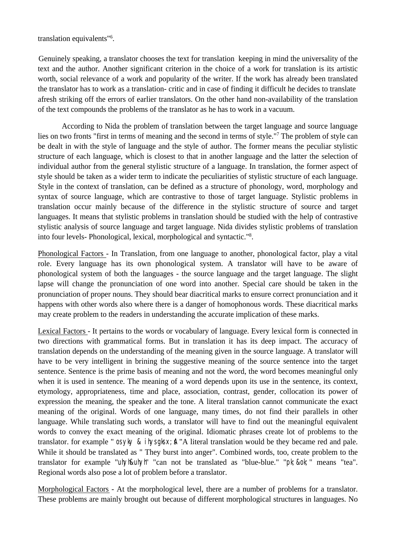translation equivalents"<sup>6</sup> .

Genuinely speaking, a translator chooses the text for translation keeping in mind the universality of the text and the author. Another significant criterion in the choice of a work for translation is its artistic worth, social relevance of a work and popularity of the writer. If the work has already been translated the translator has to work as a translation- critic and in case of finding it difficult he decides to translate afresh striking off the errors of earlier translators. On the other hand non-availability of the translation of the text compounds the problems of the translator as he has to work in a vacuum.

According to Nida the problem of translation between the target language and source language lies on two fronts "first in terms of meaning and the second in terms of style."<sup>7</sup> The problem of style can be dealt in with the style of language and the style of author. The former means the peculiar stylistic structure of each language, which is closest to that in another language and the latter the selection of individual author from the general stylistic structure of a language. In translation, the former aspect of style should be taken as a wider term to indicate the peculiarities of stylistic structure of each language. Style in the context of translation, can be defined as a structure of phonology, word, morphology and syntax of source language, which are contrastive to those of target language. Stylistic problems in translation occur mainly because of the difference in the stylistic structure of source and target languages. It means that stylistic problems in translation should be studied with the help of contrastive stylistic analysis of source language and target language. Nida divides stylistic problems of translation into four levels- Phonological, lexical, morphological and syntactic."<sup>8</sup> .

Phonological Factors - In Translation, from one language to another, phonological factor, play a vital role. Every language has its own phonological system. A translator will have to be aware of phonological system of both the languages - the source language and the target language. The slight lapse will change the pronunciation of one word into another. Special care should be taken in the pronunciation of proper nouns. They should bear diacritical marks to ensure correct pronunciation and it happens with other words also where there is a danger of homophonous words. These diacritical marks may create problem to the readers in understanding the accurate implication of these marks.

Lexical Factors - It pertains to the words or vocabulary of language. Every lexical form is connected in two directions with grammatical forms. But in translation it has its deep impact. The accuracy of translation depends on the understanding of the meaning given in the source language. A translator will have to be very intelligent in brining the suggestive meaning of the source sentence into the target sentence. Sentence is the prime basis of meaning and not the word, the word becomes meaningful only when it is used in sentence. The meaning of a word depends upon its use in the sentence, its context, etymology, appropriateness, time and place, association, contrast, gender, collocation its power of expression the meaning, the speaker and the tone. A literal translation cannot communicate the exact meaning of the original. Words of one language, many times, do not find their parallels in other language. While translating such words, a translator will have to find out the meaningful equivalent words to convey the exact meaning of the original. Idiomatic phrases create lot of problems to the translator. for example " os yky & i hys gks  $x$ ;  $\uparrow$  "A literal translation would be they became red and pale. While it should be translated as " They burst into anger". Combined words, too, create problem to the translator for example "uhyh&uhyh" "can not be translated as "blue-blue." "pk;&ok;" means "tea". Regional words also pose a lot of problem before a translator.

Morphological Factors - At the morphological level, there are a number of problems for a translator. These problems are mainly brought out because of different morphological structures in languages. No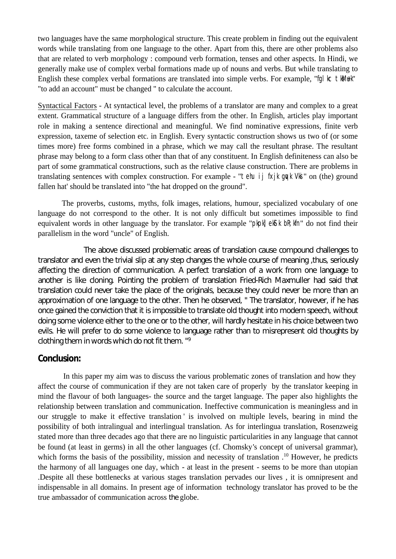two languages have the same morphological structure. This create problem in finding out the equivalent words while translating from one language to the other. Apart from this, there are other problems also that are related to verb morphology : compound verb formation, tenses and other aspects. In Hindi, we generally make use of complex verbal formations made up of nouns and verbs. But while translating to English these complex verbal formations are translated into simple verbs. For example, "fql kc tkMuk" "to add an account" must be changed " to calculate the account.

Syntactical Factors - At syntactical level, the problems of a translator are many and complex to a great extent. Grammatical structure of a language differs from the other. In English, articles play important role in making a sentence directional and meaningful. We find nominative expressions, finite verb expression, taxeme of selection etc. in English. Every syntactic construction shows us two of (or some times more) free forms combined in a phrase, which we may call the resultant phrase. The resultant phrase may belong to a form class other than that of any constituent. In English definiteness can also be part of some grammatical constructions, such as the relative clause construction. There are problems in translating sentences with complex construction. For example - "tehu ij fxjk que Vksi" on (the) ground fallen hat' should be translated into "the hat dropped on the ground".

The proverbs, customs, myths, folk images, relations, humour, specialized vocabulary of one language do not correspond to the other. It is not only difficult but sometimes impossible to find equivalent words in other language by the translator. For example "pkpk] ekS k bR; kfn" do not find their parallelism in the word "uncle" of English.

The above discussed problematic areas of translation cause compound challenges to translator and even the trivial slip at any step changes the whole course of meaning ,thus, seriously affecting the direction of communication. A perfect translation of a work from one language to another is like cloning. Pointing the problem of translation Fried-Rich Maxmuller had said that translation could never take the place of the originals, because they could never be more than an approximation of one language to the other. Then he observed, " The translator, however, if he has once gained the conviction that it is impossible to translate old thought into modern speech, without doing some violence either to the one or to the other, will hardly hesitate in his choice between two evils. He will prefer to do some violence to language rather than to misrepresent old thoughts by clothing them in words which do not fit them. "<sup>9</sup>

## **Conclusion:**

 In this paper my aim was to discuss the various problematic zones of translation and how they affect the course of communication if they are not taken care of properly by the translator keeping in mind the flavour of both languages- the source and the target language. The paper also highlights the relationship between translation and communication. Ineffective communication is meaningless and in our struggle to make it effective translation ' is involved on multiple levels, bearing in mind the possibility of both intralingual and interlingual translation. As for interlingua translation, Rosenzweig stated more than three decades ago that there are no linguistic particularities in any language that cannot be found (at least in germs) in all the other languages (cf. Chomsky's concept of universal grammar), which forms the basis of the possibility, mission and necessity of translation .<sup>10</sup> However, he predicts the harmony of all languages one day, which - at least in the present - seems to be more than utopian .Despite all these bottlenecks at various stages translation pervades our lives , it is omnipresent and indispensable in all domains. In present age of information technology translator has proved to be the true ambassador of communication across *the* globe.